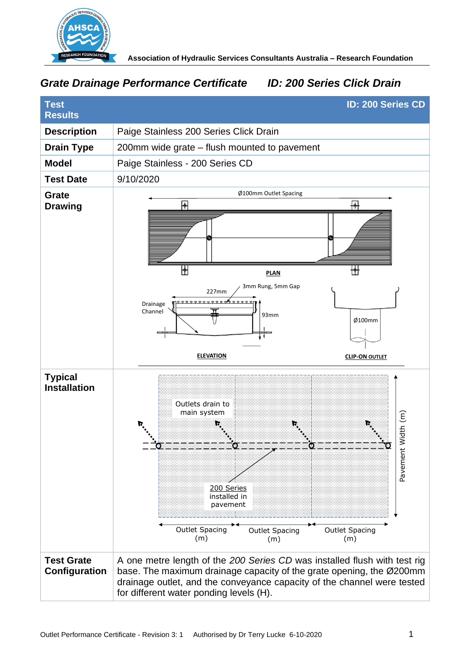

# *Grate Drainage Performance Certificate ID: 200 Series Click Drain*

| <b>Test</b>                           | <b>ID: 200 Series CD</b>                                                                                                                                                                                                                                                |
|---------------------------------------|-------------------------------------------------------------------------------------------------------------------------------------------------------------------------------------------------------------------------------------------------------------------------|
| <b>Results</b>                        |                                                                                                                                                                                                                                                                         |
| <b>Description</b>                    | Paige Stainless 200 Series Click Drain                                                                                                                                                                                                                                  |
| <b>Drain Type</b>                     | 200mm wide grate – flush mounted to pavement                                                                                                                                                                                                                            |
| <b>Model</b>                          | Paige Stainless - 200 Series CD                                                                                                                                                                                                                                         |
| <b>Test Date</b>                      | 9/10/2020                                                                                                                                                                                                                                                               |
| <b>Grate</b><br><b>Drawing</b>        | Ø100mm Outlet Spacing<br>₩<br>₩<br>₩<br>₩<br><b>PLAN</b><br>3mm Rung, 5mm Gap<br>227mm<br>Drainage<br>Channel<br>93mm<br>Ø100mm                                                                                                                                         |
|                                       | <b>ELEVATION</b><br><b>CLIP-ON OUTLET</b>                                                                                                                                                                                                                               |
| <b>Typical</b><br><b>Installation</b> | Outlets drain to<br>main system<br>Width (m)<br>Pavement<br>200 Series<br>installed in<br>pavement<br><b>Outlet Spacing</b><br>Outlet Spacing<br><b>Outlet Spacing</b><br>(m)<br>(m)<br>(m)                                                                             |
| <b>Test Grate</b><br>Configuration    | A one metre length of the 200 Series CD was installed flush with test rig<br>base. The maximum drainage capacity of the grate opening, the Ø200mm<br>drainage outlet, and the conveyance capacity of the channel were tested<br>for different water ponding levels (H). |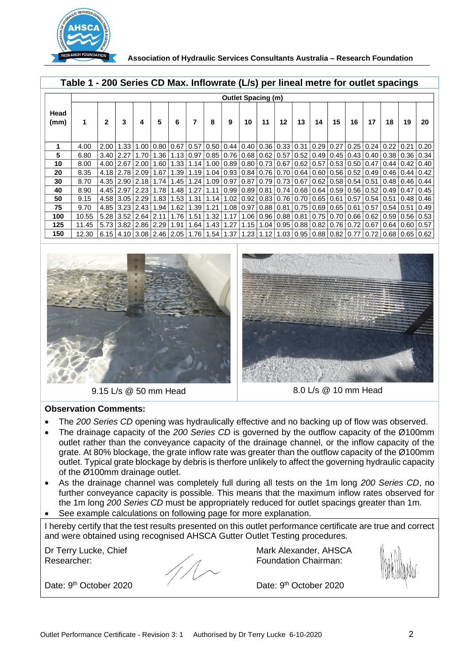

 **Association of Hydraulic Services Consultants Australia – Research Foundation** 

|              |       | <b>Outlet Spacing (m)</b> |                  |                                 |                                                  |        |      |      |      |                  |                       |                                    |      |                   |                    |                      |                                              |      |                                                                                     |      |
|--------------|-------|---------------------------|------------------|---------------------------------|--------------------------------------------------|--------|------|------|------|------------------|-----------------------|------------------------------------|------|-------------------|--------------------|----------------------|----------------------------------------------|------|-------------------------------------------------------------------------------------|------|
| Head<br>(mm) | 1     | $\mathbf{2}$              | 3                | 4                               | 5                                                | 6      | 7    | 8    | 9    | 10               | 11                    | 12                                 | 13   | 14                | 15                 | 16                   | 17                                           | 18   | 19                                                                                  | 20   |
|              | 4.00  | 2.00                      | 1.33             | 1.00                            | 0.80   0.67                                      |        | 0.57 | 0.50 | 0.44 |                  | $0.40$ $0.36$         | 0.33 0.31                          |      | 0.29              | 0.27               |                      | $0.25 \mid 0.24$                             | 0.22 | 0.21                                                                                | 0.20 |
| 5            | 6.80  | 3.40                      | 2.27             | 1.70                            | 1.36                                             | 1.13   | 0.97 | 0.85 |      |                  | $0.76$ 0.68 0.62      | $0.57$   $0.52$                    |      | $0.49$ $0.45$ $ $ |                    |                      | $0.43$   $0.40$                              | 0.38 | $\mid$ 0.36 $\mid$                                                                  | 0.34 |
| 10           | 8.00  | 4.00 2.67                 |                  | 2.00                            | 1.60                                             | 1.33 l | 1.14 | 1.00 | 0.89 |                  |                       | $0.80$ $0.73$ $0.67$ $0.62$ $0.57$ |      |                   |                    | $0.53$ $0.50$ $0.47$ |                                              |      | $0.44 \mid 0.42 \mid$                                                               | 0.40 |
| 20           | 8.35  |                           |                  | $4.18$   2.78   2.09            | 1.67                                             | 1.39   | 1.19 | 1.04 |      |                  |                       |                                    |      |                   |                    |                      | 0.93 0.84 0.76 0.70 0.64 0.60 0.56 0.52 0.49 |      | $0.46$   $0.44$   $0.42$                                                            |      |
| 30           | 8.70  |                           |                  | $4.35 \mid 2.90 \mid 2.18 \mid$ | 1.74                                             | 1.45   | 1.24 | 1.09 | 0.97 |                  |                       | $0.87$   0.79   0.73   0.67        |      | $0.62$ $0.58$     |                    | $0.54$   $0.51$      |                                              |      | $0.48$   $0.46$   $0.44$                                                            |      |
| 40           | 8.90  |                           | $4.45 \mid 2.97$ | 2.23                            | 1.78                                             | 1.48   | 1.27 | 1.11 | 0.99 | $0.89 \mid 0.81$ |                       | 0.74   0.68   0.64                 |      |                   | $\vert 0.59 \vert$ |                      | $0.56 \mid 0.52$                             |      | $0.49$   $0.47$                                                                     | 0.45 |
| 50           | 9.15  |                           | $4.58$   3.05    | 2.29                            | 1.83                                             | 1.53   | 1.31 | 1.14 | 1.02 |                  | $0.92 \mid 0.83 \mid$ | 0.76   0.70                        |      | 0.65              | 0.61               |                      | $0.57$   $0.54$                              | 0.51 | 0.48                                                                                | 0.46 |
| 75           | 9.70  |                           | $4.85$ 3.23      | 2.43                            | 1.94                                             | 1.62   | 1.39 | 1.21 | 1.08 |                  | $0.97$ 0.88           | 0.81                               | 0.75 | 0.69              | 0.65               |                      | $0.61$   $0.57$                              | 0.54 | 0.51                                                                                | 0.49 |
| 100          | 10.55 |                           |                  | $5.28$   3.52   2.64            | 2.11                                             | 1.76   | 1.51 | 1.32 | 1.17 |                  |                       | 1.06 0.96 0.88 0.81                |      | 0.75   0.70       |                    |                      | $0.66$ $0.62$ $ $                            |      | $0.59$   $0.56$   $0.53$                                                            |      |
| 125          | 11.45 |                           |                  | $5.73 \mid 3.82 \mid 2.86 \mid$ | 2.29                                             | 1.91   | 1.64 | 1.43 | 1.27 | 1.15             | 1.04                  | 0.95 0.88                          |      | 0.82 0.76         |                    |                      | $0.72 \mid 0.67$                             |      | 0.64   0.60                                                                         | 0.57 |
| 150          | 12.30 |                           |                  |                                 | $6.15$   4.10   3.08   2.46   2.05   1.76   1.54 |        |      |      |      |                  |                       |                                    |      |                   |                    |                      |                                              |      | $1.37$   1.23   1.12   1.03   0.95   0.88   0.82   0.77   0.72   0.68   0.65   0.62 |      |





#### **Observation Comments:**

- The *200 Series CD* opening was hydraulically effective and no backing up of flow was observed.
- The drainage capacity of the *200 Series CD* is governed by the outflow capacity of the Ø100mm outlet rather than the conveyance capacity of the drainage channel, or the inflow capacity of the grate. At 80% blockage, the grate inflow rate was greater than the outflow capacity of the Ø100mm outlet. Typical grate blockage by debris is therfore unlikely to affect the governing hydraulic capacity of the Ø100mm drainage outlet.
- As the drainage channel was completely full during all tests on the 1m long *200 Series CD*, no further conveyance capacity is possible. This means that the maximum inflow rates observed for the 1m long *200 Series CD* must be appropriately reduced for outlet spacings greater than 1m.
- See example calculations on following page for more explanation.

I hereby certify that the test results presented on this outlet performance certificate are true and correct and were obtained using recognised AHSCA Gutter Outlet Testing procedures.

Dr Terry Lucke, Chief Researcher:

Mark Alexander, AHSCA Foundation Chairman:

Date: 9<sup>th</sup> October 2020

Date: 9<sup>th</sup> October 2020